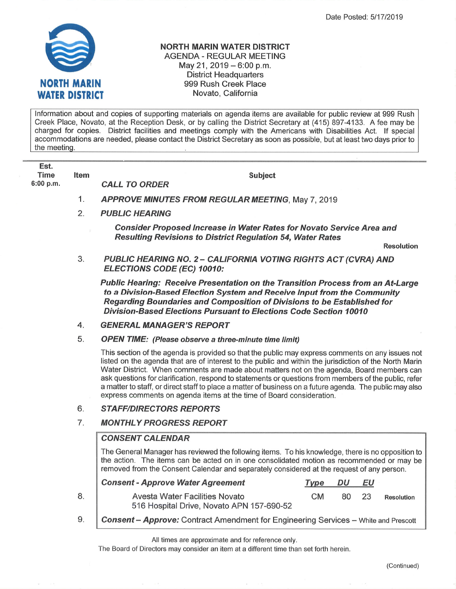

## NORTH MARIN WATER DISTRICT AGENDA - REGULAR MEETING May 21, 2019 - 6:00 p.m. District Headquarters 999 Rush Creek Place Novato, California

lnformation about and copies of supporting materials on agenda items are available for public review at 999 Rush Creek Place, Novato, at the Reception Desk, or by calling the District Secretary at (415) 897-4133. A fee may be charged for copies. District facilities and meetings comply with the Americans with Disabilities Act. lf special accommodations are needed, please contact the District Secretary as soon as possible, but at least two days prior to the meeting

| Est.<br>Time<br>6:00 p.m. | ltem | Subject<br><b>CALL TO ORDER</b>                          |
|---------------------------|------|----------------------------------------------------------|
|                           |      | <b>APPROVE MINUTES FROM REGULAR MEETING, May 7, 2019</b> |

PUBLIC HEARING 2.

> Consider Proposed Increase in Water Rates for Novato Service Area and **Resulting Revisions to District Regulation 54, Water Rates**

> > Resolution

PUBLIC HEARING NO. 2 - CALIFORNIA VOTING RIGHTS ACT (CVRA) AND ELECTIONS CODE (EC) 10010: 3

Public Hearing: Receive Presentation on the Transition Process from an At-Large to a Division-Based Election Sysfem and Receive lnput from the Community Regarding Boundaries and Composition of Divisions to be Established for Division-Based Elections Pursuant to Elections Code Secfíon 10010

#### GENERAL MANAGER'S REPORT 4.

OPEN TIME: (Please observe a three-minute time limit) 5.

> This section of the agenda is provided so that the public may express comments on any issues not listed on the agenda that are of interest to the public and within the jurisdiction of the North Marin Water District. When comments are made about matters not on the agenda, Board members can ask questions for clarification, respond to statements or questions from members of the public, refer <sup>a</sup>matter to staff, or direct staff to place a matter of business on a future agenda. The public may also express comments on agenda items at the time of Board consideration.

### **STAFF/DIRECTORS REPORTS** 6.

### **MONTHLY PROGRESS REPORT** 7.

# **CONSENT CALENDAR**

8.

The General Manager has reviewed the following items. To his knowledge, there is no opposition to the action. The items can be acted on in one consolidated motion as recommended or may be removed from the Consent Calendar and separately considered at the request of any person.

| <b>Consent - Approve Water Agreement</b>                                    | Type | DU  | ΕU   |                   |
|-----------------------------------------------------------------------------|------|-----|------|-------------------|
| Avesta Water Facilities Novato<br>516 Hospital Drive, Novato APN 157-690-52 | CM.  | 80. | - 23 | <b>Resolution</b> |
|                                                                             |      |     |      |                   |

**Consent - Approve:** Contract Amendment for Engineering Services - White and Prescott 9.

All times are approximate and for reference only.

The Board of Directors may consider an item at a different time than set forth herein